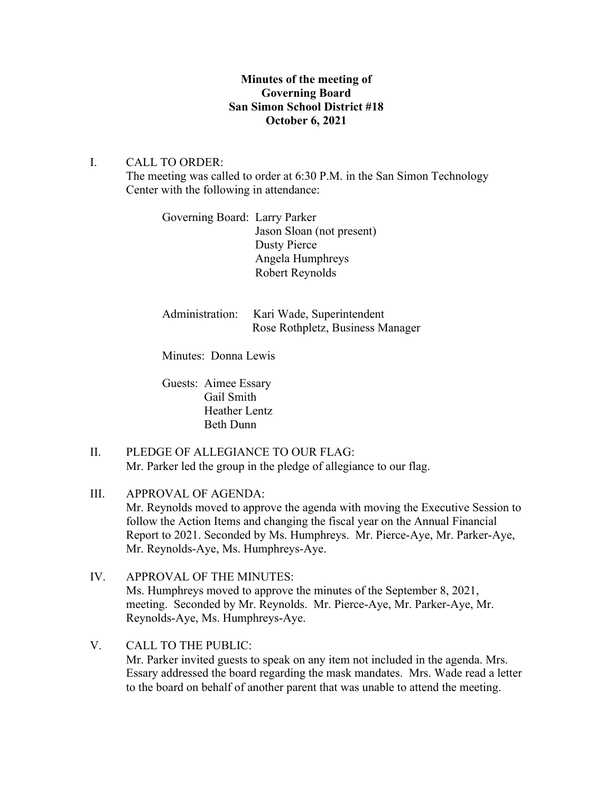## **Minutes of the meeting of Governing Board San Simon School District #18 October 6, 2021**

## I. CALL TO ORDER:

The meeting was called to order at 6:30 P.M. in the San Simon Technology Center with the following in attendance:

Governing Board: Larry Parker Jason Sloan (not present) Dusty Pierce Angela Humphreys Robert Reynolds

| Administration: Kari Wade, Superintendent |
|-------------------------------------------|
| Rose Rothpletz, Business Manager          |

Minutes: Donna Lewis

Guests: Aimee Essary Gail Smith Heather Lentz Beth Dunn

II. PLEDGE OF ALLEGIANCE TO OUR FLAG: Mr. Parker led the group in the pledge of allegiance to our flag.

III. APPROVAL OF AGENDA: Mr. Reynolds moved to approve the agenda with moving the Executive Session to follow the Action Items and changing the fiscal year on the Annual Financial Report to 2021. Seconded by Ms. Humphreys. Mr. Pierce-Aye, Mr. Parker-Aye, Mr. Reynolds-Aye, Ms. Humphreys-Aye.

- IV. APPROVAL OF THE MINUTES: Ms. Humphreys moved to approve the minutes of the September 8, 2021, meeting. Seconded by Mr. Reynolds. Mr. Pierce-Aye, Mr. Parker-Aye, Mr. Reynolds-Aye, Ms. Humphreys-Aye.
- V. CALL TO THE PUBLIC:

Mr. Parker invited guests to speak on any item not included in the agenda. Mrs. Essary addressed the board regarding the mask mandates. Mrs. Wade read a letter to the board on behalf of another parent that was unable to attend the meeting.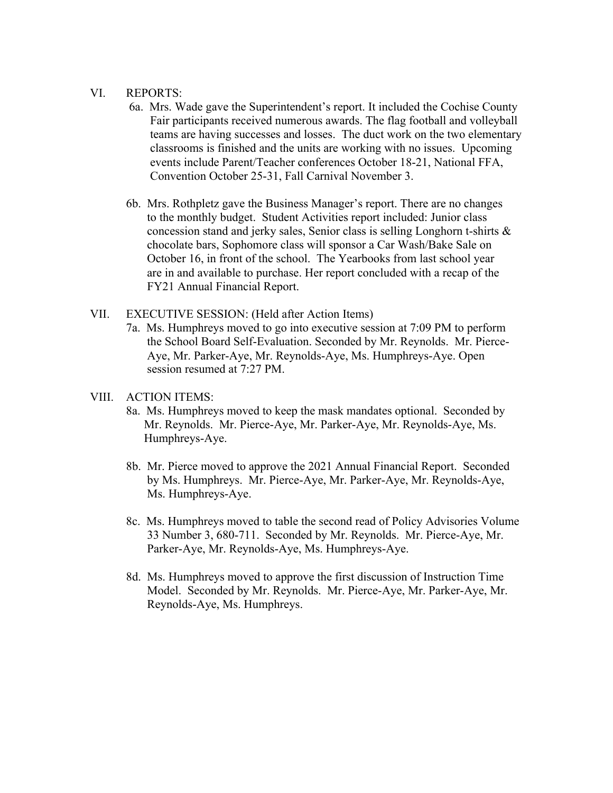#### VI. REPORTS:

- 6a. Mrs. Wade gave the Superintendent's report. It included the Cochise County Fair participants received numerous awards. The flag football and volleyball teams are having successes and losses. The duct work on the two elementary classrooms is finished and the units are working with no issues. Upcoming events include Parent/Teacher conferences October 18-21, National FFA, Convention October 25-31, Fall Carnival November 3.
- 6b. Mrs. Rothpletz gave the Business Manager's report. There are no changes to the monthly budget. Student Activities report included: Junior class concession stand and jerky sales, Senior class is selling Longhorn t-shirts & chocolate bars, Sophomore class will sponsor a Car Wash/Bake Sale on October 16, in front of the school. The Yearbooks from last school year are in and available to purchase. Her report concluded with a recap of the FY21 Annual Financial Report.
- VII. EXECUTIVE SESSION: (Held after Action Items)
	- 7a. Ms. Humphreys moved to go into executive session at 7:09 PM to perform the School Board Self-Evaluation. Seconded by Mr. Reynolds. Mr. Pierce- Aye, Mr. Parker-Aye, Mr. Reynolds-Aye, Ms. Humphreys-Aye. Open session resumed at 7:27 PM.

#### VIII. ACTION ITEMS:

- 8a. Ms. Humphreys moved to keep the mask mandates optional. Seconded by Mr. Reynolds. Mr. Pierce-Aye, Mr. Parker-Aye, Mr. Reynolds-Aye, Ms. Humphreys-Aye.
- 8b. Mr. Pierce moved to approve the 2021 Annual Financial Report. Seconded by Ms. Humphreys. Mr. Pierce-Aye, Mr. Parker-Aye, Mr. Reynolds-Aye, Ms. Humphreys-Aye.
- 8c. Ms. Humphreys moved to table the second read of Policy Advisories Volume 33 Number 3, 680-711. Seconded by Mr. Reynolds. Mr. Pierce-Aye, Mr. Parker-Aye, Mr. Reynolds-Aye, Ms. Humphreys-Aye.
- 8d. Ms. Humphreys moved to approve the first discussion of Instruction Time Model. Seconded by Mr. Reynolds. Mr. Pierce-Aye, Mr. Parker-Aye, Mr. Reynolds-Aye, Ms. Humphreys.